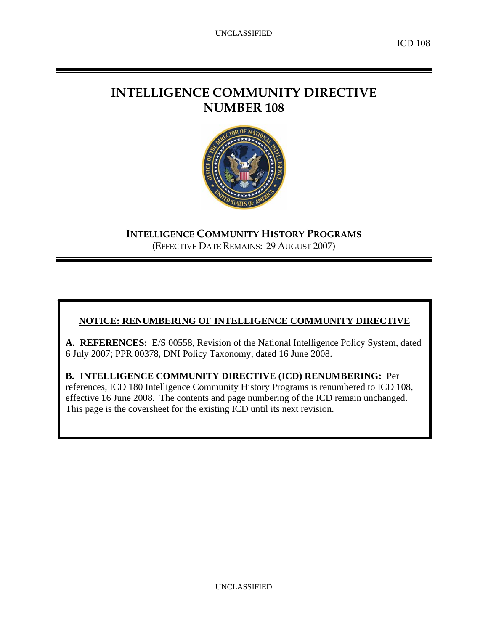# **INTELLIGENCE COMMUNITY DIRECTIVE NUMBER 108**



**INTELLIGENCE COMMUNITY HISTORY PROGRAMS** (EFFECTIVE DATE REMAINS: 29 AUGUST 2007)

## **NOTICE: RENUMBERING OF INTELLIGENCE COMMUNITY DIRECTIVE**

**A. REFERENCES:** E/S 00558, Revision of the National Intelligence Policy System, dated 6 July 2007; PPR 00378, DNI Policy Taxonomy, dated 16 June 2008.

**B. INTELLIGENCE COMMUNITY DIRECTIVE (ICD) RENUMBERING:** Per references, ICD 180 Intelligence Community History Programs is renumbered to ICD 108, effective 16 June 2008. The contents and page numbering of the ICD remain unchanged. This page is the coversheet for the existing ICD until its next revision.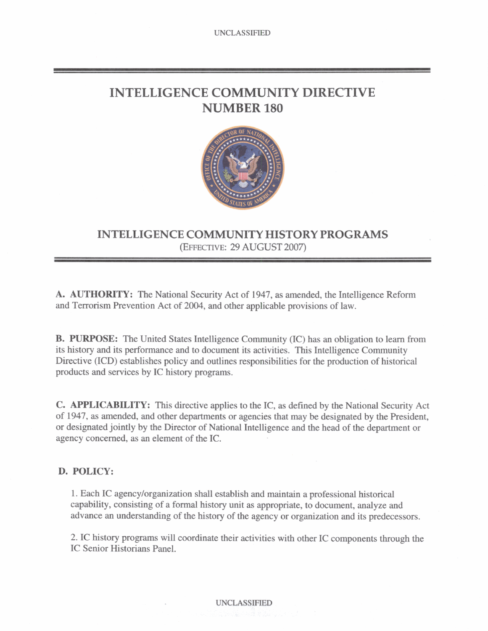# **INTELLIGENCE COMMUNITY DIRECTIVE NUMBER 180**



## **INTELLIGENCE COMMUNITY HISTORY PROGRAMS**  (EWE-: **29 AUGUST 2007)**

A. AUTHORITY: The National **Security** Act of 1947, **as** amended, the Intelligence Reform and Terrorism Prevention Act of 2004, and other applicable provisions of law.

B. **PURPOSE:** The United States Intelligence Community (IC) has an obligation to learn from its history and its perfonname and to document its activities. This Intelligence Community Directive **(ICD)** establishes policy and outlines responsibilities for **the** production of historical products and services by IC history programs.

**C. APPLICABILITY:** This directive applies to the IC, **as** defined by **the** National Security Act of 1947, as amended, and other departments or agencies that may be designated by the President, or designated jointly by the Director of National Intelligence and the head of the department or agency concerned, **as** an element of **the** IC.

## **D. POLICY:**

**1. Each** IC agencylorganization shall establish and maintain a professional historical capability, consisting of a formal history unit as appropriate, to document, analyze and advance an understanding of **the** history of the agency or organization and its predecessors.

2. IC history programs will coordinate their activities with other IC components through the IC Senior Historians Panel.

### **UNCLASSIFIED**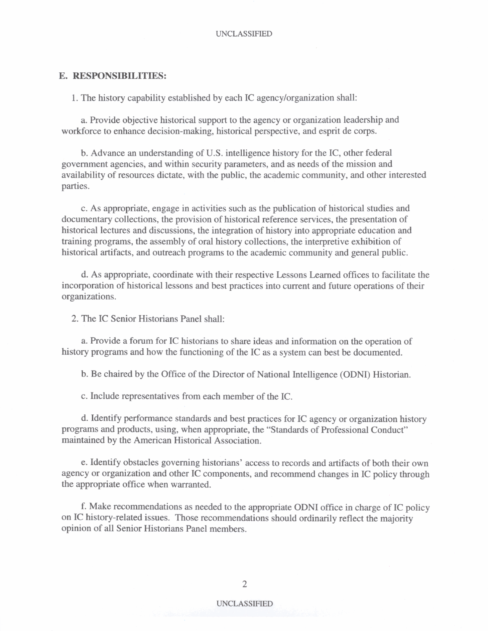### **E. RESPONSIBILITIES:**

1. The history capability established by each IC agencylorganization shall:

a Provide objective historical support to the agency or organization leadership and workforce to enhance decision-making, historical perspective, and esprit de corps.

b. Advance an understanding of U.S. intelligence history for the IC, other federal government agencies, and within security parameters, and as needs of the mission and availability of resources dictate, with the public, the academic community, and other interested parties.

c. As appropriate, engage in activities such as the publication of historical studies and documentary collections, **the** provision of historical reference services, the presentation of historical lectures and discussions, the integration of history into appropriate education and training programs, the assembly of oral history collections, **the** interpretive exhibition of historical artifacts, and outreach programs to the academic community and general public.

d. As appropriate, coordinate with their respective **Lessons Learned** offices to facilitate the incorporation of historical lessons and best practices into current and future operations of their organizations.

2. The IC Senior Historians Panel shall:

**a.** Provide a forum for IC historians to share ideas and information on the operation of history programs and how the functioning of the IC as a system can best be documented.

b. Be chaired by the Office of the Director of National Intelligence (ODNI) Historian.

c. Include representatives from each member of the IC.

d. Identify performance standards and best practices for IC agency or organization history programs and products, using, when appropriate, the "Standards of Professional Conduct" maintained by the American Historical Association.

e. Identify obstacles governing historians' access to records and artifacts of both their own agency or organization and other IC components, and recommend changes in IC policy through the appropriate office when warranted.

f. Make recommendations as needed to the appropriate ODNI office in charge of IC policy on IC history-related issues. **Those** recommendations should ordinarily reflect the majority opinion of all Senior Historians Panel members.

### **UNCLASSIFIED**